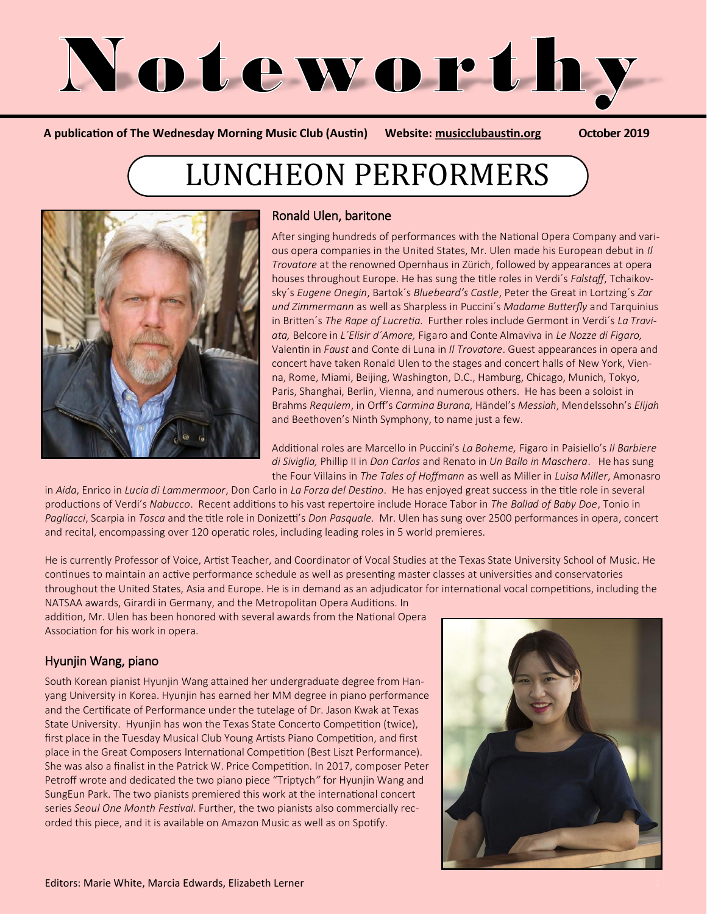

**A publication of The Wednesday Morning Music Club (Austin) Website: [musicclubaustin.org](http://musicclubaustin.org/)** October 2019

# LUNCHEON PERFORMERS



#### Ronald Ulen, baritone

After singing hundreds of performances with the National Opera Company and various opera companies in the United States, Mr. Ulen made his European debut in *Il Trovatore* at the renowned Opernhaus in Zürich, followed by appearances at opera houses throughout Europe. He has sung the title roles in Verdi´s *Falstaff*, Tchaikovsky´s *Eugene Onegin*, Bartok´s *Bluebeard's Castle*, Peter the Great in Lortzing´s *Zar und Zimmermann* as well as Sharpless in Puccini´s *Madame Butterfly* and Tarquinius in Britten´s *The Rape of Lucretia*. Further roles include Germont in Verdi´s *La Traviata,* Belcore in *L´Elisir d´Amore,* Figaro and Conte Almaviva in *Le Nozze di Figaro,*  Valentin in *Faust* and Conte di Luna in *Il Trovatore*. Guest appearances in opera and concert have taken Ronald Ulen to the stages and concert halls of New York, Vienna, Rome, Miami, Beijing, Washington, D.C., Hamburg, Chicago, Munich, Tokyo, Paris, Shanghai, Berlin, Vienna, and numerous others. He has been a soloist in Brahms *Requiem*, in Orff's *Carmina Burana*, Händel's *Messiah*, Mendelssohn's *Elijah* and Beethoven's Ninth Symphony, to name just a few.

Additional roles are Marcello in Puccini's *La Boheme,* Figaro in Paisiello's *Il Barbiere di Siviglia,* Phillip II in *Don Carlos* and Renato in *Un Ballo in Maschera*. He has sung the Four Villains in *The Tales of Hoffmann* as well as Miller in *Luisa Miller*, Amonasro

in *Aida*, Enrico in *Lucia di Lammermoor*, Don Carlo in *La Forza del Destino*. He has enjoyed great success in the title role in several productions of Verdi's *Nabucco*. Recent additions to his vast repertoire include Horace Tabor in *The Ballad of Baby Doe*, Tonio in *Pagliacci*, Scarpia in *Tosca* and the title role in Donizetti's *Don Pasquale*. Mr. Ulen has sung over 2500 performances in opera, concert and recital, encompassing over 120 operatic roles, including leading roles in 5 world premieres.

He is currently Professor of Voice, Artist Teacher, and Coordinator of Vocal Studies at the Texas State University School of Music. He continues to maintain an active performance schedule as well as presenting master classes at universities and conservatories throughout the United States, Asia and Europe. He is in demand as an adjudicator for international vocal competitions, including the

NATSAA awards, Girardi in Germany, and the Metropolitan Opera Auditions. In addition, Mr. Ulen has been honored with several awards from the National Opera Association for his work in opera.

#### Hyunjin Wang, piano

South Korean pianist Hyunjin Wang attained her undergraduate degree from Hanyang University in Korea. Hyunjin has earned her MM degree in piano performance and the Certificate of Performance under the tutelage of Dr. Jason Kwak at Texas State University. Hyunjin has won the Texas State Concerto Competition (twice), first place in the Tuesday Musical Club Young Artists Piano Competition, and first place in the Great Composers International Competition (Best Liszt Performance). She was also a finalist in the Patrick W. Price Competition. In 2017, composer Peter Petroff wrote and dedicated the two piano piece "Triptych*"* for Hyunjin Wang and SungEun Park. The two pianists premiered this work at the international concert series *Seoul One Month Festival*. Further, the two pianists also commercially recorded this piece, and it is available on Amazon Music as well as on Spotify.

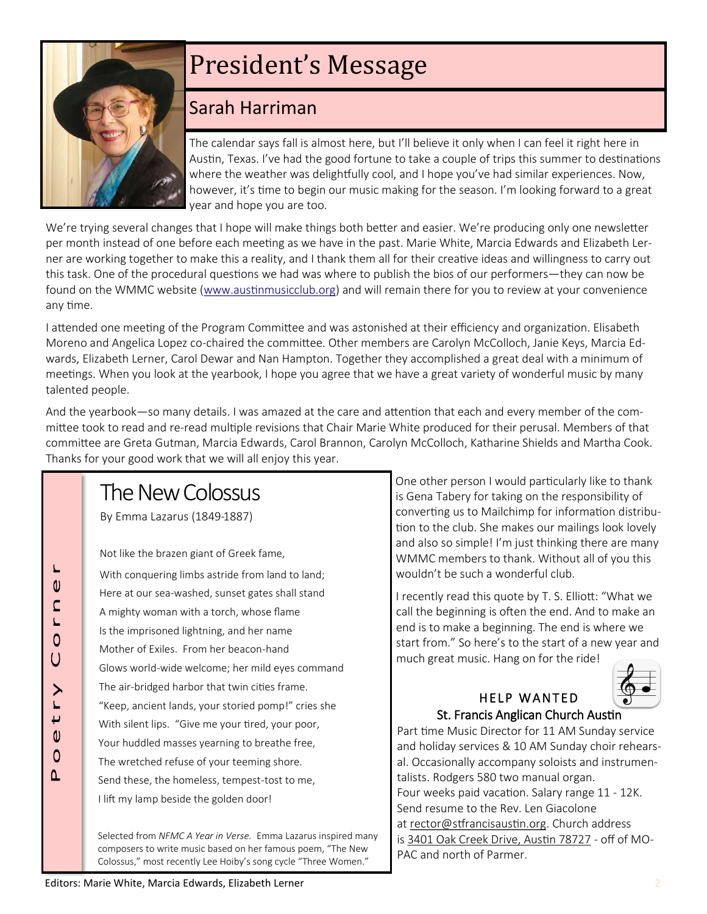

# President's Message

## Sarah Harriman

The calendar says fall is almost here, but I'll believe it only when I can feel it right here in Austin, Texas. I've had the good fortune to take a couple of trips this summer to destinations where the weather was delightfully cool, and I hope you've had similar experiences. Now, however, it's time to begin our music making for the season. I'm looking forward to a great year and hope you are too.

We're trying several changes that I hope will make things both better and easier. We're producing only one newsletter per month instead of one before each meeting as we have in the past. Marie White, Marcia Edwards and Elizabeth Lerner are working together to make this a reality, and I thank them all for their creative ideas and willingness to carry out this task. One of the procedural questions we had was where to publish the bios of our performers—they can now be found on the WMMC website ([www.austinmusicclub.org\)](http://www.austinmusicclub.org) and will remain there for you to review at your convenience any time.

I attended one meeting of the Program Committee and was astonished at their efficiency and organization. Elisabeth Moreno and Angelica Lopez co-chaired the committee. Other members are Carolyn McColloch, Janie Keys, Marcia Edwards, Elizabeth Lerner, Carol Dewar and Nan Hampton. Together they accomplished a great deal with a minimum of meetings. When you look at the yearbook, I hope you agree that we have a great variety of wonderful music by many talented people.

And the yearbook—so many details. I was amazed at the care and attention that each and every member of the committee took to read and re-read multiple revisions that Chair Marie White produced for their perusal. Members of that committee are Greta Gutman, Marcia Edwards, Carol Brannon, Carolyn McColloch, Katharine Shields and Martha Cook. Thanks for your good work that we will all enjoy this year.

## The New Colossus

By Emma Lazarus (1849-1887)

 $\mathbf 0$  $\mathsf{C}$  $\overline{r}$  $\overline{O}$  $\bigcup$ 

 $\geq$  $\overline{v}$  $\mathbf 0$  $\Omega$  $\Delta$ 

Not like the brazen giant of Greek fame, With conquering limbs astride from land to land; Here at our sea-washed, sunset gates shall stand A mighty woman with a torch, whose flame Is the imprisoned lightning, and her name Mother of Exiles. From her beacon-hand Glows world-wide welcome; her mild eyes command The air-bridged harbor that twin cities frame. "Keep, ancient lands, your storied pomp!" cries she With silent lips. "Give me your tired, your poor, Your huddled masses yearning to breathe free, The wretched refuse of your teeming shore. Send these, the homeless, tempest-tost to me, I lift my lamp beside the golden door!

Selected from *NFMC A Year in Verse.* Emma Lazarus inspired many composers to write music based on her famous poem, "The New Colossus," most recently Lee Hoiby's song cycle "Three Women."

One other person I would particularly like to thank is Gena Tabery for taking on the responsibility of converting us to Mailchimp for information distribution to the club. She makes our mailings look lovely and also so simple! I'm just thinking there are many WMMC members to thank. Without all of you this wouldn't be such a wonderful club.

I recently read this quote by T. S. Elliott: "What we call the beginning is often the end. And to make an end is to make a beginning. The end is where we start from." So here's to the start of a new year and much great music. Hang on for the ride!



#### HELP WANTED St. Francis Anglican Church Austin

Part time Music Director for 11 AM Sunday service and holiday services & 10 AM Sunday choir rehearsal. Occasionally accompany soloists and instrumentalists. Rodgers 580 two manual organ. Four weeks paid vacation. Salary range 11 - 12K. Send resume to the Rev. Len Giacolone at [rector@stfrancisaustin.org.](mailto:rector@stfrancisaustin.org) Church address is [3401 Oak Creek Drive, Austin 78727](https://www.google.com/maps/search/3401+Oak+Creek+Drive,+Austin+78727?entry=gmail&source=g) - off of MO-PAC and north of Parmer.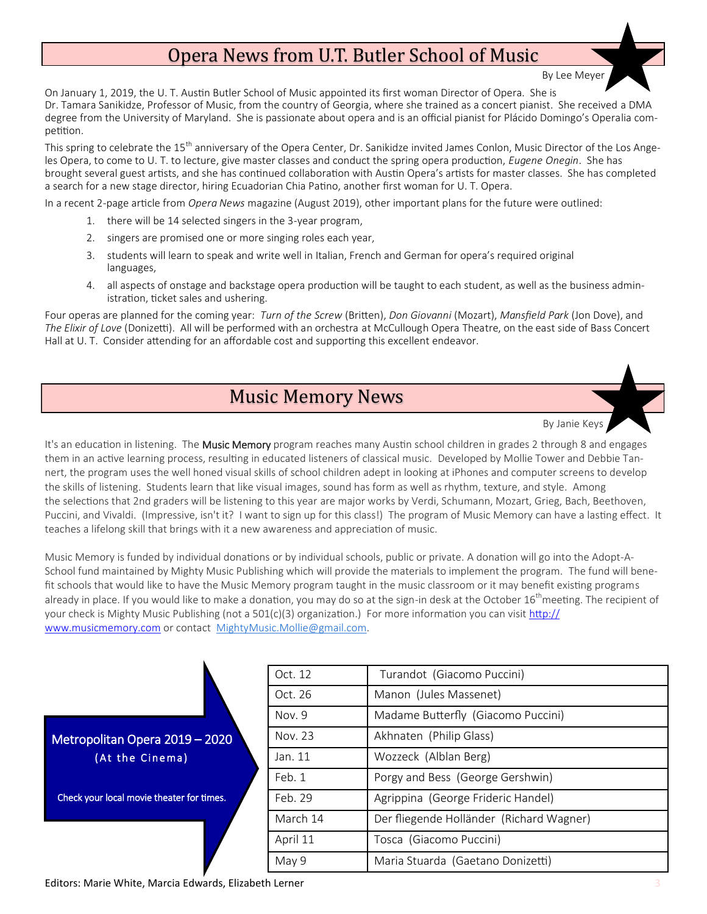## Opera News from U.T. Butler School of Music

On January 1, 2019, the U. T. Austin Butler School of Music appointed its first woman Director of Opera. She is Dr. Tamara Sanikidze, Professor of Music, from the country of Georgia, where she trained as a concert pianist. She received a DMA degree from the University of Maryland. She is passionate about opera and is an official pianist for Plácido Domingo's Operalia competition.

This spring to celebrate the 15<sup>th</sup> anniversary of the Opera Center, Dr. Sanikidze invited James Conlon, Music Director of the Los Angeles Opera, to come to U. T. to lecture, give master classes and conduct the spring opera production, *Eugene Onegin*. She has brought several guest artists, and she has continued collaboration with Austin Opera's artists for master classes. She has completed a search for a new stage director, hiring Ecuadorian Chia Patino, another first woman for U. T. Opera.

In a recent 2-page article from *Opera News* magazine (August 2019), other important plans for the future were outlined:

- 1. there will be 14 selected singers in the 3-year program,
- 2. singers are promised one or more singing roles each year,
- 3. students will learn to speak and write well in Italian, French and German for opera's required original languages,
- 4. all aspects of onstage and backstage opera production will be taught to each student, as well as the business administration, ticket sales and ushering.

Four operas are planned for the coming year: *Turn of the Screw* (Britten), *Don Giovanni* (Mozart), *Mansfield Park* (Jon Dove), and *The Elixir of Love* (Donizetti). All will be performed with an orchestra at McCullough Opera Theatre, on the east side of Bass Concert Hall at U. T. Consider attending for an affordable cost and supporting this excellent endeavor.

## Music Memory News



It's an education in listening. The Music Memory program reaches many Austin school children in grades 2 through 8 and engages them in an active learning process, resulting in educated listeners of classical music. Developed by Mollie Tower and Debbie Tannert, the program uses the well honed visual skills of school children adept in looking at iPhones and computer screens to develop the skills of listening. Students learn that like visual images, sound has form as well as rhythm, texture, and style. Among the selections that 2nd graders will be listening to this year are major works by Verdi, Schumann, Mozart, Grieg, Bach, Beethoven, Puccini, and Vivaldi. (Impressive, isn't it? I want to sign up for this class!) The program of Music Memory can have a lasting effect. It teaches a lifelong skill that brings with it a new awareness and appreciation of music.

Music Memory is funded by individual donations or by individual schools, public or private. A donation will go into the Adopt-A-School fund maintained by Mighty Music Publishing which will provide the materials to implement the program. The fund will benefit schools that would like to have the Music Memory program taught in the music classroom or it may benefit existing programs already in place. If you would like to make a donation, you may do so at the sign-in desk at the October 16<sup>th</sup>meeting. The recipient of your check is Mighty Music Publishing (not a 501(c)(3) organization.) For more information you can visit [http://](http://www.musicmemory.com) [www.musicmemory.com](http://www.musicmemory.com) or contact MightyMusic.Mollie@gmail.com.

|                                           | Oct. 12  | Turandot (Giacomo Puccini)               |
|-------------------------------------------|----------|------------------------------------------|
| Metropolitan Opera 2019 - 2020            | Oct. 26  | Manon (Jules Massenet)                   |
|                                           | Nov. 9   | Madame Butterfly (Giacomo Puccini)       |
|                                           | Nov. 23  | Akhnaten (Philip Glass)                  |
| (At the Cinema)                           | Jan. 11  | Wozzeck (Alblan Berg)                    |
|                                           | Feb. 1   | Porgy and Bess (George Gershwin)         |
| Check your local movie theater for times. | Feb. 29  | Agrippina (George Frideric Handel)       |
|                                           | March 14 | Der fliegende Holländer (Richard Wagner) |
|                                           | April 11 | Tosca (Giacomo Puccini)                  |
|                                           | May 9    | Maria Stuarda (Gaetano Donizetti)        |

Editors: Marie White, Marcia Edwards, Elizabeth Lerner 3

By Lee Meye